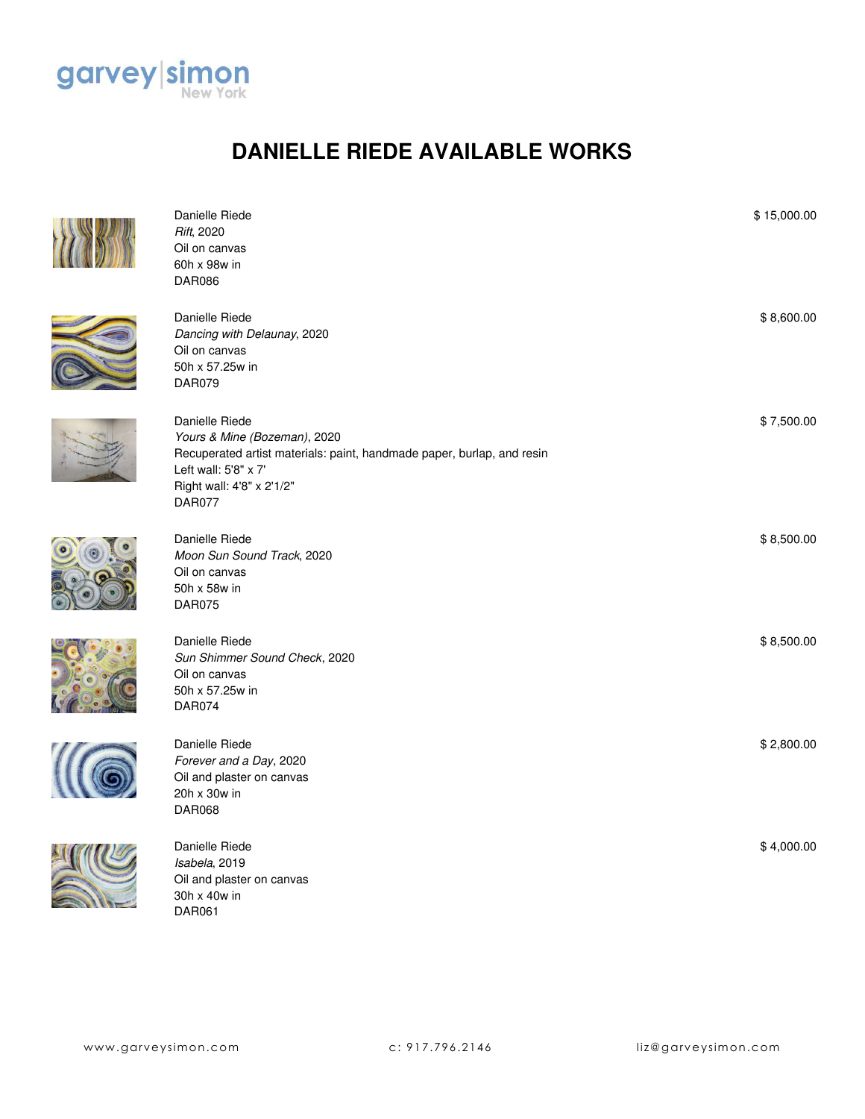

## **DANIELLE RIEDE AVAILABLE WORKS**



| Danielle Riede<br>Rift, 2020<br>Oil on canvas<br>60h x 98w in<br>DAR086                                                                                                                        | \$15,000.00 |
|------------------------------------------------------------------------------------------------------------------------------------------------------------------------------------------------|-------------|
| Danielle Riede<br>Dancing with Delaunay, 2020<br>Oil on canvas<br>50h x 57.25w in<br><b>DAR079</b>                                                                                             | \$8,600.00  |
| Danielle Riede<br>Yours & Mine (Bozeman), 2020<br>Recuperated artist materials: paint, handmade paper, burlap, and resin<br>Left wall: 5'8" x 7"<br>Right wall: 4'8" x 2'1/2"<br><b>DAR077</b> | \$7,500.00  |
| Danielle Riede<br>Moon Sun Sound Track, 2020<br>Oil on canvas<br>50h x 58w in<br><b>DAR075</b>                                                                                                 | \$8,500.00  |
| Danielle Riede<br>Sun Shimmer Sound Check, 2020<br>Oil on canvas<br>50h x 57.25w in<br><b>DAR074</b>                                                                                           | \$8,500.00  |
| Danielle Riede<br>Forever and a Day, 2020<br>Oil and plaster on canvas<br>20h x 30w in<br><b>DAR068</b>                                                                                        | \$2,800.00  |
| Danielle Riede<br>Isabela, 2019<br>Oil and plaster on canvas<br>30h x 40w in<br><b>DAR061</b>                                                                                                  | \$4,000.00  |









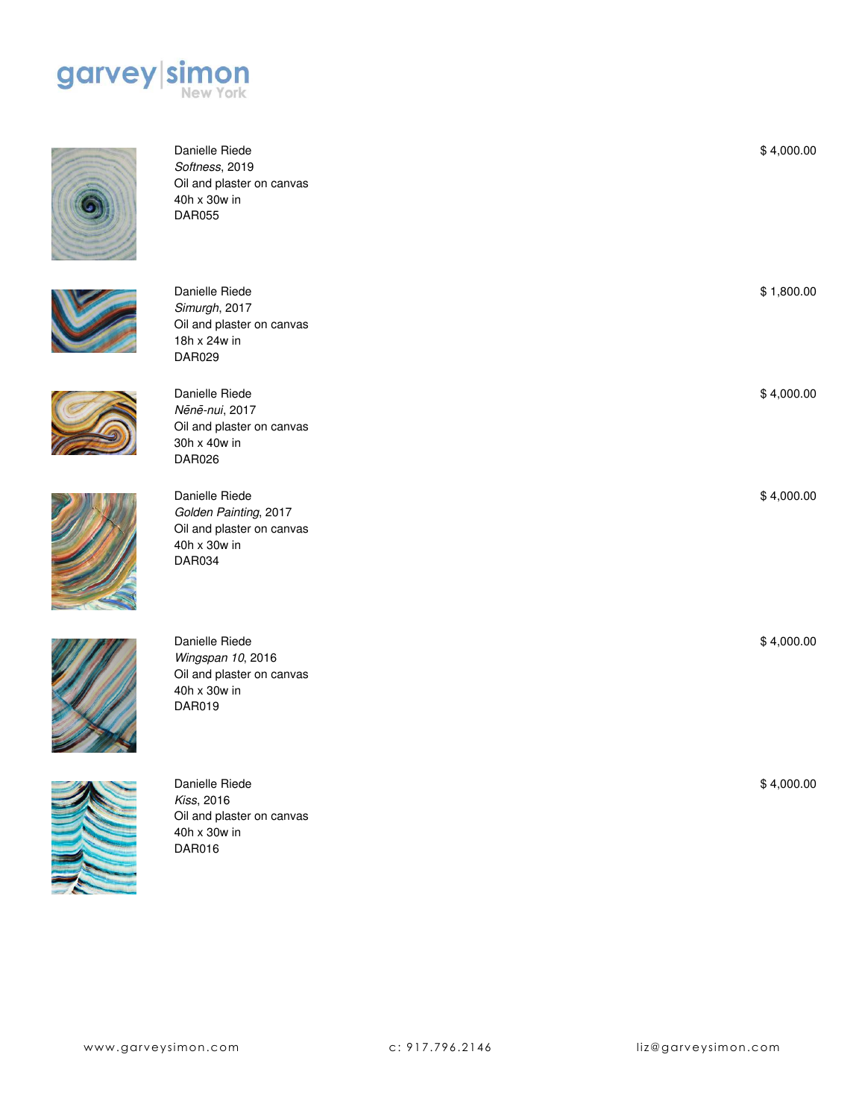



Danielle Riede *Softness*, 2019 Oil and plaster on canvas 40h x 30w in DAR055



Danielle Riede *Simurgh*, 2017 Oil and plaster on canvas 18h x 24w in DAR029

Oil and plaster on canvas

Danielle Riede *Ne*̄*ne*̄*-nui*, 2017

30h x 40w in DAR026

Danielle Riede *Wingspan 10*, 2016 Oil and plaster on canvas

40h x 30w in DAR019





Danielle Riede *Golden Painting*, 2017 Oil and plaster on canvas 40h x 30w in DAR034





Danielle Riede *Kiss*, 2016 Oil and plaster on canvas 40h x 30w in DAR016

\$ 1,800.00

\$ 4,000.00

\$ 4,000.00

\$ 4,000.00

\$ 4,000.00

\$ 4,000.00